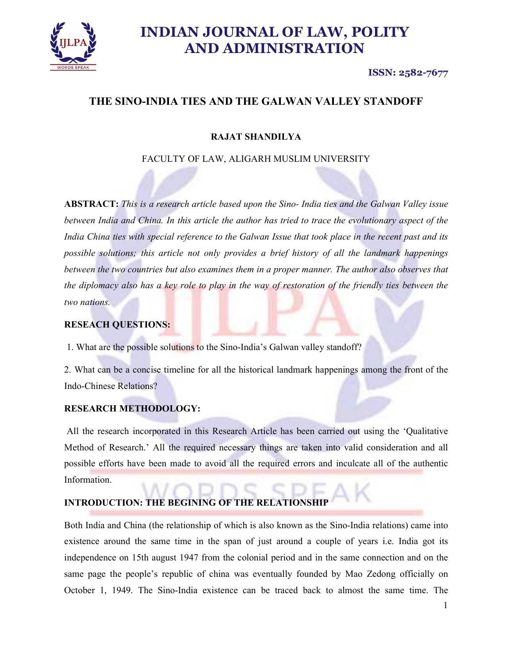

### ISSN: 2582-7677

# THE SINO-INDIA TIES AND THE GALWAN VALLEY STANDOFF

# RAJAT SHANDILYA

# FACULTY OF LAW, ALIGARH MUSLIM UNIVERSITY

ABSTRACT: This is a research article based upon the Sino- India ties and the Galwan Valley issue between India and China. In this article the author has tried to trace the evolutionary aspect of the India China ties with special reference to the Galwan Issue that took place in the recent past and its possible solutions; this article not only provides a brief history of all the landmark happenings between the two countries but also examines them in a proper manner. The author also observes that the diplomacy also has a key role to play in the way of restoration of the friendly ties between the two nations.

### RESEACH QUESTIONS:

1. What are the possible solutions to the Sino-India's Galwan valley standoff?

2. What can be a concise timeline for all the historical landmark happenings among the front of the Indo-Chinese Relations?

### RESEARCH METHODOLOGY:

 All the research incorporated in this Research Article has been carried out using the 'Qualitative Method of Research.' All the required necessary things are taken into valid consideration and all possible efforts have been made to avoid all the required errors and inculcate all of the authentic Information.

### INTRODUCTION: THE BEGINING OF THE RELATIONSH

Both India and China (the relationship of which is also known as the Sino-India relations) came into existence around the same time in the span of just around a couple of years i.e. India got its independence on 15th august 1947 from the colonial period and in the same connection and on the same page the people's republic of china was eventually founded by Mao Zedong officially on October 1, 1949. The Sino-India existence can be traced back to almost the same time. The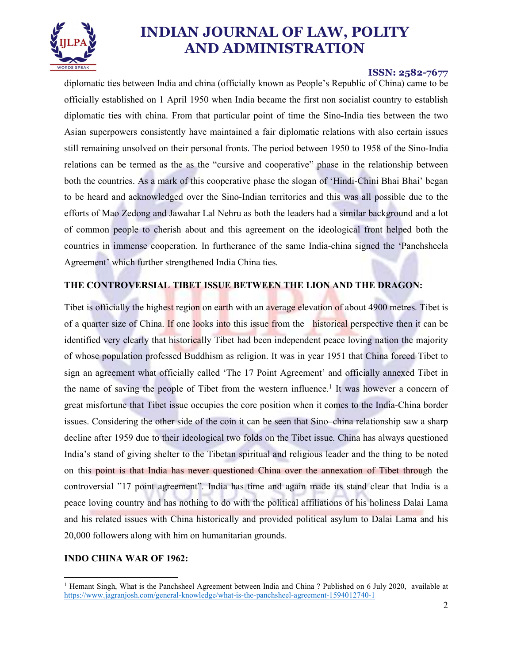

### ISSN: 2582-7677

diplomatic ties between India and china (officially known as People's Republic of China) came to be officially established on 1 April 1950 when India became the first non socialist country to establish diplomatic ties with china. From that particular point of time the Sino-India ties between the two Asian superpowers consistently have maintained a fair diplomatic relations with also certain issues still remaining unsolved on their personal fronts. The period between 1950 to 1958 of the Sino-India relations can be termed as the as the "cursive and cooperative" phase in the relationship between both the countries. As a mark of this cooperative phase the slogan of 'Hindi-Chini Bhai Bhai' began to be heard and acknowledged over the Sino-Indian territories and this was all possible due to the efforts of Mao Zedong and Jawahar Lal Nehru as both the leaders had a similar background and a lot of common people to cherish about and this agreement on the ideological front helped both the countries in immense cooperation. In furtherance of the same India-china signed the 'Panchsheela Agreement' which further strengthened India China ties.

# THE CONTROVERSIAL TIBET ISSUE BETWEEN THE LION AND THE DRAGON:

Tibet is officially the highest region on earth with an average elevation of about 4900 metres. Tibet is of a quarter size of China. If one looks into this issue from the historical perspective then it can be identified very clearly that historically Tibet had been independent peace loving nation the majority of whose population professed Buddhism as religion. It was in year 1951 that China forced Tibet to sign an agreement what officially called 'The 17 Point Agreement' and officially annexed Tibet in the name of saving the people of Tibet from the western influence.<sup>1</sup> It was however a concern of great misfortune that Tibet issue occupies the core position when it comes to the India-China border issues. Considering the other side of the coin it can be seen that Sino–china relationship saw a sharp decline after 1959 due to their ideological two folds on the Tibet issue. China has always questioned India's stand of giving shelter to the Tibetan spiritual and religious leader and the thing to be noted on this point is that India has never questioned China over the annexation of Tibet through the controversial "17 point agreement". India has time and again made its stand clear that India is a peace loving country and has nothing to do with the political affiliations of his holiness Dalai Lama and his related issues with China historically and provided political asylum to Dalai Lama and his 20,000 followers along with him on humanitarian grounds.

### INDO CHINA WAR OF 1962:

<sup>&</sup>lt;sup>1</sup> Hemant Singh, What is the Panchsheel Agreement between India and China ? Published on 6 July 2020, available at https://www.jagranjosh.com/general-knowledge/what-is-the-panchsheel-agreement-1594012740-1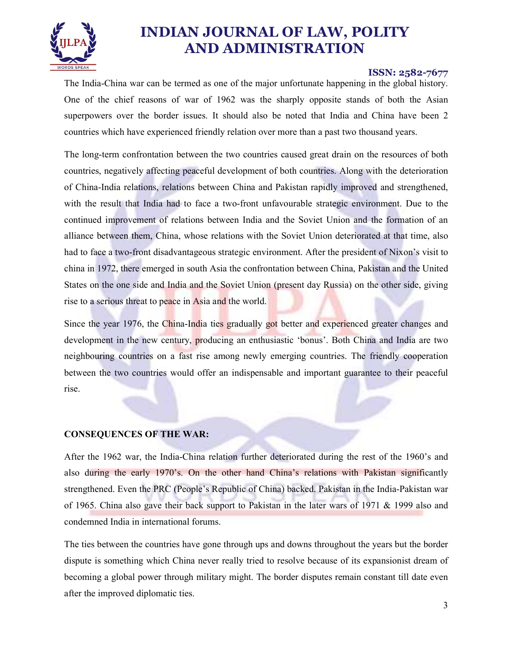

#### ISSN: 2582-7677

The India-China war can be termed as one of the major unfortunate happening in the global history. One of the chief reasons of war of 1962 was the sharply opposite stands of both the Asian superpowers over the border issues. It should also be noted that India and China have been 2 countries which have experienced friendly relation over more than a past two thousand years.

The long-term confrontation between the two countries caused great drain on the resources of both countries, negatively affecting peaceful development of both countries. Along with the deterioration of China-India relations, relations between China and Pakistan rapidly improved and strengthened, with the result that India had to face a two-front unfavourable strategic environment. Due to the continued improvement of relations between India and the Soviet Union and the formation of an alliance between them, China, whose relations with the Soviet Union deteriorated at that time, also had to face a two-front disadvantageous strategic environment. After the president of Nixon's visit to china in 1972, there emerged in south Asia the confrontation between China, Pakistan and the United States on the one side and India and the Soviet Union (present day Russia) on the other side, giving rise to a serious threat to peace in Asia and the world.

Since the year 1976, the China-India ties gradually got better and experienced greater changes and development in the new century, producing an enthusiastic 'bonus'. Both China and India are two neighbouring countries on a fast rise among newly emerging countries. The friendly cooperation between the two countries would offer an indispensable and important guarantee to their peaceful rise.

#### CONSEQUENCES OF THE WAR:

After the 1962 war, the India-China relation further deteriorated during the rest of the 1960's and also during the early 1970's. On the other hand China's relations with Pakistan significantly strengthened. Even the PRC (People's Republic of China) backed. Pakistan in the India-Pakistan war of 1965. China also gave their back support to Pakistan in the later wars of 1971 & 1999 also and condemned India in international forums.

The ties between the countries have gone through ups and downs throughout the years but the border dispute is something which China never really tried to resolve because of its expansionist dream of becoming a global power through military might. The border disputes remain constant till date even after the improved diplomatic ties.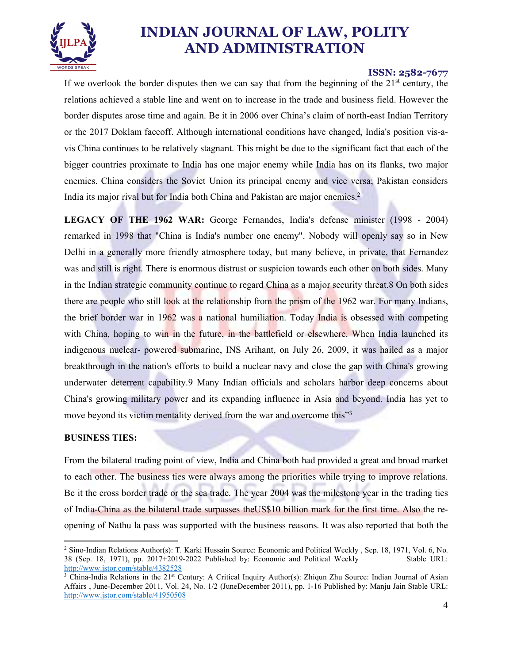

### ISSN: 2582-7677

If we overlook the border disputes then we can say that from the beginning of the  $21<sup>st</sup>$  century, the relations achieved a stable line and went on to increase in the trade and business field. However the border disputes arose time and again. Be it in 2006 over China's claim of north-east Indian Territory or the 2017 Doklam faceoff. Although international conditions have changed, India's position vis-avis China continues to be relatively stagnant. This might be due to the significant fact that each of the bigger countries proximate to India has one major enemy while India has on its flanks, two major enemies. China considers the Soviet Union its principal enemy and vice versa; Pakistan considers India its major rival but for India both China and Pakistan are major enemies.<sup>2</sup>

LEGACY OF THE 1962 WAR: George Fernandes, India's defense minister (1998 - 2004) remarked in 1998 that "China is India's number one enemy". Nobody will openly say so in New Delhi in a generally more friendly atmosphere today, but many believe, in private, that Fernandez was and still is right. There is enormous distrust or suspicion towards each other on both sides. Many in the Indian strategic community continue to regard China as a major security threat.8 On both sides there are people who still look at the relationship from the prism of the 1962 war. For many Indians, the brief border war in 1962 was a national humiliation. Today India is obsessed with competing with China, hoping to win in the future, in the battlefield or elsewhere. When India launched its indigenous nuclear- powered submarine, INS Arihant, on July 26, 2009, it was hailed as a major breakthrough in the nation's efforts to build a nuclear navy and close the gap with China's growing underwater deterrent capability.9 Many Indian officials and scholars harbor deep concerns about China's growing military power and its expanding influence in Asia and beyond. India has yet to move beyond its victim mentality derived from the war and overcome this"<sup>3</sup>

### BUSINESS TIES:

From the bilateral trading point of view, India and China both had provided a great and broad market to each other. The business ties were always among the priorities while trying to improve relations. Be it the cross border trade or the sea trade. The year 2004 was the milestone year in the trading ties of India-China as the bilateral trade surpasses theUS\$10 billion mark for the first time. Also the reopening of Nathu la pass was supported with the business reasons. It was also reported that both the

 <sup>2</sup> Sino-Indian Relations Author(s): T. Karki Hussain Source: Economic and Political Weekly , Sep. 18, 1971, Vol. 6, No. 38 (Sep. 18, 1971), pp. 2017+2019-2022 Published by: Economic and Political Weekly Stable URL: http://www.jstor.com/stable/4382528

<sup>&</sup>lt;sup>3</sup> China-India Relations in the 21<sup>st</sup> Century: A Critical Inquiry Author(s): Zhiqun Zhu Source: Indian Journal of Asian Affairs , June-December 2011, Vol. 24, No. 1/2 (JuneDecember 2011), pp. 1-16 Published by: Manju Jain Stable URL: http://www.jstor.com/stable/41950508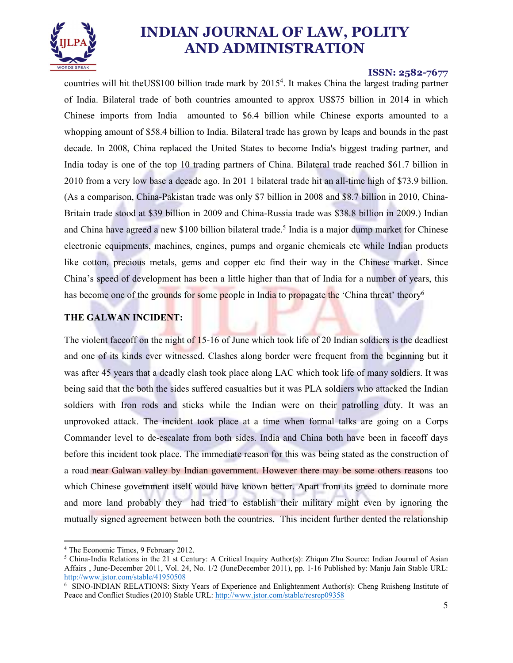

#### ISSN: 2582-7677

countries will hit theUS\$100 billion trade mark by 20154 . It makes China the largest trading partner of India. Bilateral trade of both countries amounted to approx US\$75 billion in 2014 in which Chinese imports from India amounted to \$6.4 billion while Chinese exports amounted to a whopping amount of \$58.4 billion to India. Bilateral trade has grown by leaps and bounds in the past decade. In 2008, China replaced the United States to become India's biggest trading partner, and India today is one of the top 10 trading partners of China. Bilateral trade reached \$61.7 billion in 2010 from a very low base a decade ago. In 201 1 bilateral trade hit an all-time high of \$73.9 billion. (As a comparison, China-Pakistan trade was only \$7 billion in 2008 and \$8.7 billion in 2010, China-Britain trade stood at \$39 billion in 2009 and China-Russia trade was \$38.8 billion in 2009.) Indian and China have agreed a new \$100 billion bilateral trade.<sup>5</sup> India is a major dump market for Chinese electronic equipments, machines, engines, pumps and organic chemicals etc while Indian products like cotton, precious metals, gems and copper etc find their way in the Chinese market. Since China's speed of development has been a little higher than that of India for a number of years, this has become one of the grounds for some people in India to propagate the 'China threat' theory<sup>6</sup>

### THE GALWAN INCIDENT:

The violent faceoff on the night of 15-16 of June which took life of 20 Indian soldiers is the deadliest and one of its kinds ever witnessed. Clashes along border were frequent from the beginning but it was after 45 years that a deadly clash took place along LAC which took life of many soldiers. It was being said that the both the sides suffered casualties but it was PLA soldiers who attacked the Indian soldiers with Iron rods and sticks while the Indian were on their patrolling duty. It was an unprovoked attack. The incident took place at a time when formal talks are going on a Corps Commander level to de-escalate from both sides. India and China both have been in faceoff days before this incident took place. The immediate reason for this was being stated as the construction of a road near Galwan valley by Indian government. However there may be some others reasons too which Chinese government itself would have known better. Apart from its greed to dominate more and more land probably they had tried to establish their military might even by ignoring the mutually signed agreement between both the countries. This incident further dented the relationship

The Economic Times 9 February 2012 <sup>4</sup> The Economic Times, 9 February 2012.<br><sup>5</sup> China-India Belations in the 21 st Centur

<sup>&</sup>lt;sup>5</sup> China-India Relations in the 21 st Century: A Critical Inquiry Author(s): Zhiqun Zhu Source: Indian Journal of Asian Affairs , June-December 2011, Vol. 24, No. 1/2 (JuneDecember 2011), pp. 1-16 Published by: Manju Jain Stable URL: http://www.jstor.com/stable/41950508

<sup>&</sup>lt;sup>6</sup> SINO-INDIAN RELATIONS: Sixty Years of Experience and Enlightenment Author(s): Cheng Ruisheng Institute of Peace and Conflict Studies (2010) Stable URL: http://www.jstor.com/stable/resrep09358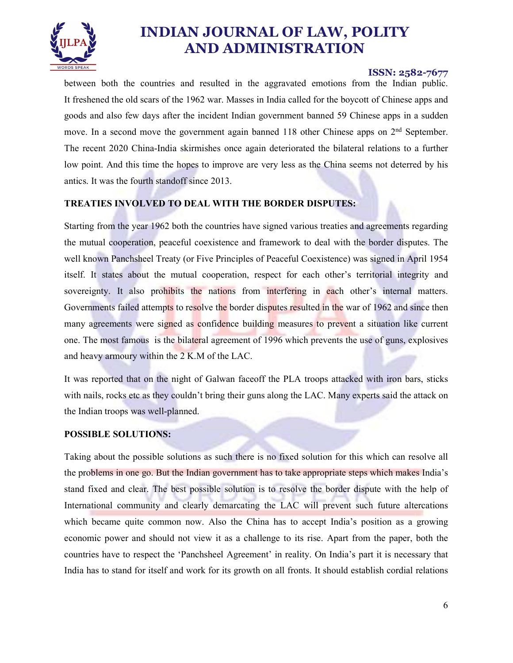

### ISSN: 2582-7677

between both the countries and resulted in the aggravated emotions from the Indian public. It freshened the old scars of the 1962 war. Masses in India called for the boycott of Chinese apps and goods and also few days after the incident Indian government banned 59 Chinese apps in a sudden move. In a second move the government again banned 118 other Chinese apps on  $2<sup>nd</sup>$  September. The recent 2020 China-India skirmishes once again deteriorated the bilateral relations to a further low point. And this time the hopes to improve are very less as the China seems not deterred by his antics. It was the fourth standoff since 2013.

### TREATIES INVOLVED TO DEAL WITH THE BORDER DISPUTES:

Starting from the year 1962 both the countries have signed various treaties and agreements regarding the mutual cooperation, peaceful coexistence and framework to deal with the border disputes. The well known Panchsheel Treaty (or Five Principles of Peaceful Coexistence) was signed in April 1954 itself. It states about the mutual cooperation, respect for each other's territorial integrity and sovereignty. It also prohibits the nations from interfering in each other's internal matters. Governments failed attempts to resolve the border disputes resulted in the war of 1962 and since then many agreements were signed as confidence building measures to prevent a situation like current one. The most famous is the bilateral agreement of 1996 which prevents the use of guns, explosives and heavy armoury within the 2 K.M of the LAC.

It was reported that on the night of Galwan faceoff the PLA troops attacked with iron bars, sticks with nails, rocks etc as they couldn't bring their guns along the LAC. Many experts said the attack on the Indian troops was well-planned.

#### POSSIBLE SOLUTIONS:

Taking about the possible solutions as such there is no fixed solution for this which can resolve all the problems in one go. But the Indian government has to take appropriate steps which makes India's stand fixed and clear. The best possible solution is to resolve the border dispute with the help of International community and clearly demarcating the LAC will prevent such future altercations which became quite common now. Also the China has to accept India's position as a growing economic power and should not view it as a challenge to its rise. Apart from the paper, both the countries have to respect the 'Panchsheel Agreement' in reality. On India's part it is necessary that India has to stand for itself and work for its growth on all fronts. It should establish cordial relations